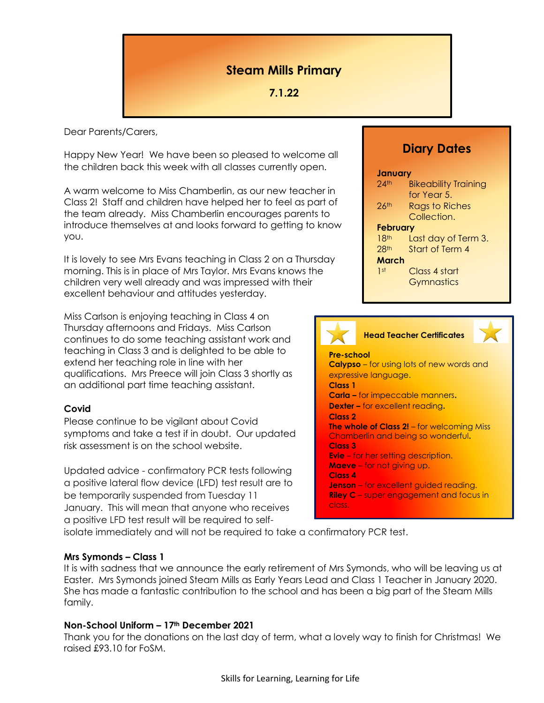# **Steam Mills Primary**

# **7.1.22**

Dear Parents/Carers,

Happy New Year! We have been so pleased to welcome all the children back this week with all classes currently open.

A warm welcome to Miss Chamberlin, as our new teacher in Class 2! Staff and children have helped her to feel as part of the team already. Miss Chamberlin encourages parents to introduce themselves at and looks forward to getting to know you.

It is lovely to see Mrs Evans teaching in Class 2 on a Thursday morning. This is in place of Mrs Taylor. Mrs Evans knows the children very well already and was impressed with their excellent behaviour and attitudes yesterday.

Miss Carlson is enjoying teaching in Class 4 on Thursday afternoons and Fridays. Miss Carlson continues to do some teaching assistant work and teaching in Class 3 and is delighted to be able to extend her teaching role in line with her qualifications. Mrs Preece will join Class 3 shortly as an additional part time teaching assistant.

## **Covid**

Please continue to be vigilant about Covid symptoms and take a test if in doubt. Our updated risk assessment is on the school website.

Updated advice - confirmatory PCR tests following a positive lateral flow device (LFD) test result are to be temporarily suspended from Tuesday 11 January. This will mean that anyone who receives a positive LFD test result will be required to self-

# **Diary Dates**

#### **January**

| $24$ th            | <b>Bikeability Training</b> |
|--------------------|-----------------------------|
|                    | for Year 5.                 |
| $26$ <sup>th</sup> | <b>Rags to Riches</b>       |
|                    | Collection.                 |
| <b>February</b>    |                             |
| 18 <sup>th</sup>   | Last day of Term 3.         |
| 28 <sup>th</sup>   | Start of Term 4             |
| March              |                             |
| 1st                | Class 4 start               |
|                    | Gymnastics                  |
|                    |                             |



**Head Teacher Certificates**



**Pre-school Calypso** – for using lots of new words and expressive language. **Class 1 Carla –** for impeccable manners**. Dexter –** for excellent reading**. Class 2 The whole of Class 2!** – for welcoming Miss Chamberlin and being so wonderful**. Class 3 Evie** – for her setting description. **Maeve** – for not giving up. **Class 4 Jenson** – for excellent guided reading. **Riley C** – super engagement and focus in class.

isolate immediately and will not be required to take a confirmatory PCR test.

## **Mrs Symonds – Class 1**

It is with sadness that we announce the early retirement of Mrs Symonds, who will be leaving us at Easter. Mrs Symonds joined Steam Mills as Early Years Lead and Class 1 Teacher in January 2020. She has made a fantastic contribution to the school and has been a big part of the Steam Mills family.

## **Non-School Uniform – 17th December 2021**

Thank you for the donations on the last day of term, what a lovely way to finish for Christmas! We raised £93.10 for FoSM.